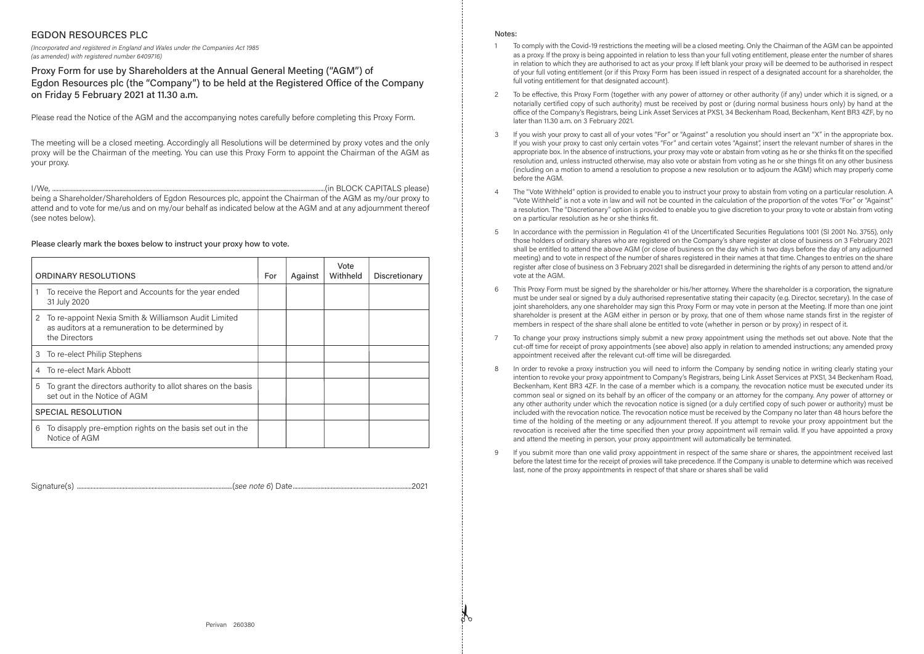## EGDON RESOURCES PLC

*(Incorporated and registered in England and Wales under the Companies Act 1985 (as amended) with registered number 6409716)* 

## Proxy Form for use by Shareholders at the Annual General Meeting ("AGM") of Egdon Resources plc (the "Company") to be held at the Registered Office of the Company on Friday 5 February 2021 at 11.30 a.m.

Please read the Notice of the AGM and the accompanying notes carefully before completing this Proxy Form.

The meeting will be a closed meeting. Accordingly all Resolutions will be determined by proxy votes and the only proxy will be the Chairman of the meeting. You can use this Proxy Form to appoint the Chairman of the AGM as your proxy.

I/We, ...................................................................................................................................................................................(in BLOCK CAPITALS please) being a Shareholder/Shareholders of Egdon Resources plc, appoint the Chairman of the AGM as my/our proxy to attend and to vote for me/us and on my/our behalf as indicated below at the AGM and at any adjournment thereof (see notes below).

| Please clearly mark the boxes below to instruct your proxy how to vote. |  |
|-------------------------------------------------------------------------|--|
|-------------------------------------------------------------------------|--|

| ORDINARY RESOLUTIONS                                                                                                            | For | Against | Vote<br>Withheld | Discretionary |
|---------------------------------------------------------------------------------------------------------------------------------|-----|---------|------------------|---------------|
| To receive the Report and Accounts for the year ended<br>31 July 2020                                                           |     |         |                  |               |
| To re-appoint Nexia Smith & Williamson Audit Limited<br>2<br>as auditors at a remuneration to be determined by<br>the Directors |     |         |                  |               |
| To re-elect Philip Stephens<br>3                                                                                                |     |         |                  |               |
| To re-elect Mark Abbott<br>$\overline{A}$                                                                                       |     |         |                  |               |
| To grant the directors authority to allot shares on the basis<br>5<br>set out in the Notice of AGM                              |     |         |                  |               |
| <b>SPECIAL RESOLUTION</b>                                                                                                       |     |         |                  |               |
| To disapply pre-emption rights on the basis set out in the<br>6<br>Notice of AGM                                                |     |         |                  |               |

| $\sim$<br>.<br> |  |  |
|-----------------|--|--|
|-----------------|--|--|

## **Notes**

- <sup>1</sup> To comply with the Covid-19 restrictions the meeting will be a closed meeting. Only the Chairman of the AGM can be appointed as a proxy. If the proxy is being appointed in relation to less than your full voting entitlement, please enter the number of shares in relation to which they are authorised to act as your proxy. If left blank your proxy will be deemed to be authorised in respect of your full voting entitlement (or if this Proxy Form has been issued in respect of a designated account for a shareholder, the full voting entitlement for that designated account).
- 2 To be effective, this Proxy Form (together with any power of attorney or other authority (if any) under which it is signed, or a notarially certified copy of such authority) must be received by post or (during normal business hours only) by hand at the office of the Company's Registrars, being Link Asset Services at PXS1, 34 Beckenham Road, Beckenham, Kent BR3 4ZF, by no later than 11.30 a.m. on 3 February 2021.
- 3 If you wish your proxy to cast all of your votes "For" or "Against" a resolution you should insert an "X" in the appropriate box. If you wish your proxy to cast only certain votes "For" and certain votes "Against", insert the relevant number of shares in the appropriate box. In the absence of instructions, your proxy may vote or abstain from voting as he or she thinks fit on the specified resolution and, unless instructed otherwise, may also vote or abstain from voting as he or she things fit on any other business (including on a motion to amend a resolution to propose a new resolution or to adjourn the AGM) which may properly come before the AGM.
- <sup>4</sup> The "Vote Withheld" option is provided to enable you to instruct your proxy to abstain from voting on a particular resolution. A "Vote Withheld" is not a vote in law and will not be counted in the calculation of the proportion of the votes "For" or "Against" a resolution. The "Discretionary" option is provided to enable you to give discretion to your proxy to vote or abstain from voting on a particular resolution as he or she thinks fit.
- 5 In accordance with the permission in Regulation 41 of the Uncertificated Securities Regulations 1001 (SI 2001 No. 3755), only those holders of ordinary shares who are registered on the Company's share register at close of business on 3 February 2021 shall be entitled to attend the above AGM (or close of business on the day which is two days before the day of any adjourned meeting) and to vote in respect of the number of shares registered in their names at that time. Changes to entries on the share register after close of business on 3 February 2021 shall be disregarded in determining the rights of any person to attend and/or vote at the AGM.
- 6 This Proxy Form must be signed by the shareholder or his/her attorney. Where the shareholder is a corporation, the signature must be under seal or signed by a duly authorised representative stating their capacity (e.g. Director, secretary). In the case of joint shareholders, any one shareholder may sign this Proxy Form or may vote in person at the Meeting. If more than one joint shareholder is present at the AGM either in person or by proxy, that one of them whose name stands first in the register of members in respect of the share shall alone be entitled to vote (whether in person or by proxy) in respect of it.
- <sup>7</sup> To change your proxy instructions simply submit a new proxy appointment using the methods set out above. Note that the cut-off time for receipt of proxy appointments (see above) also apply in relation to amended instructions; any amended proxy appointment received after the relevant cut-off time will be disregarded.
- In order to revoke a proxy instruction you will need to inform the Company by sending notice in writing clearly stating your intention to revoke your proxy appointment to Company's Registrars, being Link Asset Services at PXS1, 34 Beckenham Road, Beckenham, Kent BR3 4ZF. In the case of a member which is a company, the revocation notice must be executed under its common seal or signed on its behalf by an officer of the company or an attorney for the company. Any power of attorney or any other authority under which the revocation notice is signed (or a duly certified copy of such power or authority) must be included with the revocation notice. The revocation notice must be received by the Company no later than 48 hours before the time of the holding of the meeting or any adjournment thereof. If you attempt to revoke your proxy appointment but the revocation is received after the time specified then your proxy appointment will remain valid. If you have appointed a proxy and attend the meeting in person, your proxy appointment will automatically be terminated.
- 9 If you submit more than one valid proxy appointment in respect of the same share or shares, the appointment received last before the latest time for the receipt of proxies will take precedence. If the Company is unable to determine which was received last, none of the proxy appointments in respect of that share or shares shall be valid